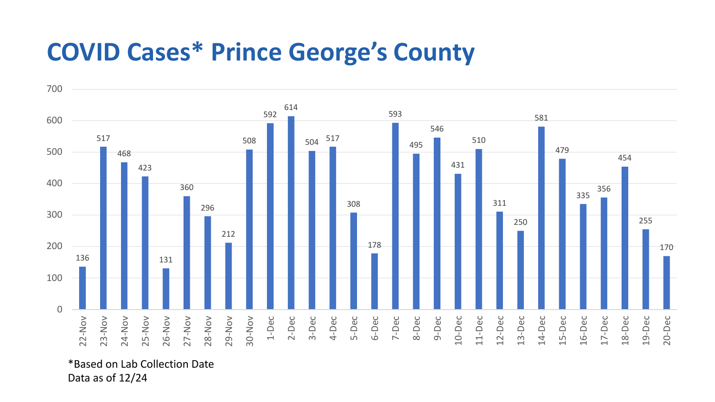## **COVID Cases\* Prince George's County**



\*Based on Lab Collection Date Data as of 12/24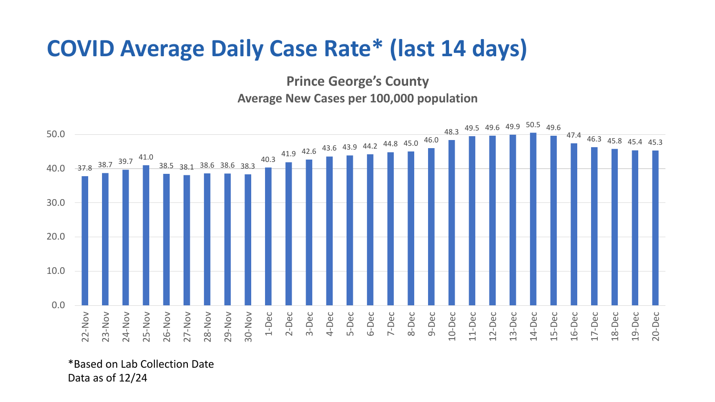## **COVID Average Daily Case Rate\* (last 14 days)**

**Prince George's County Average New Cases per 100,000 population**



\*Based on Lab Collection Date Data as of 12/24